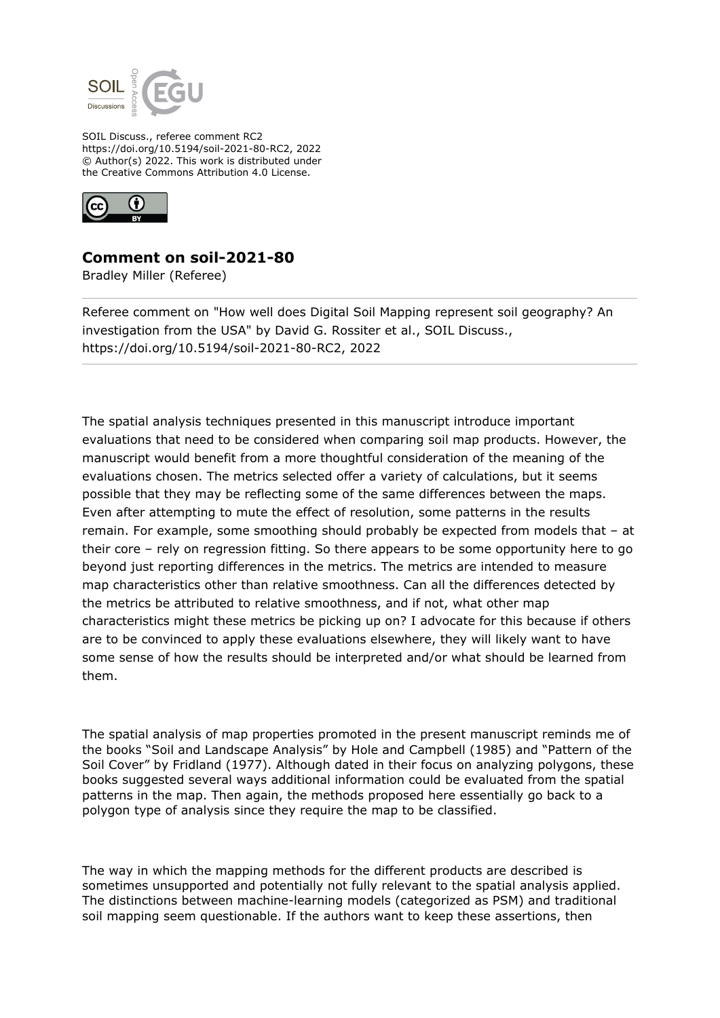

SOIL Discuss., referee comment RC2 https://doi.org/10.5194/soil-2021-80-RC2, 2022 © Author(s) 2022. This work is distributed under the Creative Commons Attribution 4.0 License.



## **Comment on soil-2021-80**

Bradley Miller (Referee)

Referee comment on "How well does Digital Soil Mapping represent soil geography? An investigation from the USA" by David G. Rossiter et al., SOIL Discuss., https://doi.org/10.5194/soil-2021-80-RC2, 2022

The spatial analysis techniques presented in this manuscript introduce important evaluations that need to be considered when comparing soil map products. However, the manuscript would benefit from a more thoughtful consideration of the meaning of the evaluations chosen. The metrics selected offer a variety of calculations, but it seems possible that they may be reflecting some of the same differences between the maps. Even after attempting to mute the effect of resolution, some patterns in the results remain. For example, some smoothing should probably be expected from models that – at their core – rely on regression fitting. So there appears to be some opportunity here to go beyond just reporting differences in the metrics. The metrics are intended to measure map characteristics other than relative smoothness. Can all the differences detected by the metrics be attributed to relative smoothness, and if not, what other map characteristics might these metrics be picking up on? I advocate for this because if others are to be convinced to apply these evaluations elsewhere, they will likely want to have some sense of how the results should be interpreted and/or what should be learned from them.

The spatial analysis of map properties promoted in the present manuscript reminds me of the books "Soil and Landscape Analysis" by Hole and Campbell (1985) and "Pattern of the Soil Cover" by Fridland (1977). Although dated in their focus on analyzing polygons, these books suggested several ways additional information could be evaluated from the spatial patterns in the map. Then again, the methods proposed here essentially go back to a polygon type of analysis since they require the map to be classified.

The way in which the mapping methods for the different products are described is sometimes unsupported and potentially not fully relevant to the spatial analysis applied. The distinctions between machine-learning models (categorized as PSM) and traditional soil mapping seem questionable. If the authors want to keep these assertions, then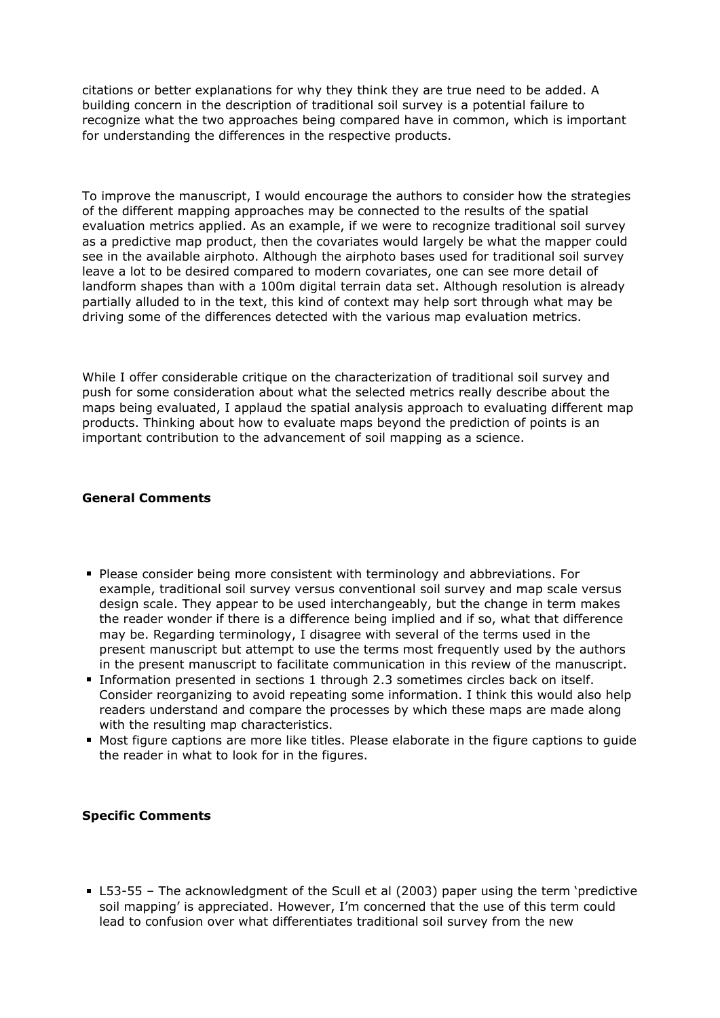citations or better explanations for why they think they are true need to be added. A building concern in the description of traditional soil survey is a potential failure to recognize what the two approaches being compared have in common, which is important for understanding the differences in the respective products.

To improve the manuscript, I would encourage the authors to consider how the strategies of the different mapping approaches may be connected to the results of the spatial evaluation metrics applied. As an example, if we were to recognize traditional soil survey as a predictive map product, then the covariates would largely be what the mapper could see in the available airphoto. Although the airphoto bases used for traditional soil survey leave a lot to be desired compared to modern covariates, one can see more detail of landform shapes than with a 100m digital terrain data set. Although resolution is already partially alluded to in the text, this kind of context may help sort through what may be driving some of the differences detected with the various map evaluation metrics.

While I offer considerable critique on the characterization of traditional soil survey and push for some consideration about what the selected metrics really describe about the maps being evaluated, I applaud the spatial analysis approach to evaluating different map products. Thinking about how to evaluate maps beyond the prediction of points is an important contribution to the advancement of soil mapping as a science.

## **General Comments**

- **Please consider being more consistent with terminology and abbreviations. For** example, traditional soil survey versus conventional soil survey and map scale versus design scale. They appear to be used interchangeably, but the change in term makes the reader wonder if there is a difference being implied and if so, what that difference may be. Regarding terminology, I disagree with several of the terms used in the present manuscript but attempt to use the terms most frequently used by the authors in the present manuscript to facilitate communication in this review of the manuscript.
- **Information presented in sections 1 through 2.3 sometimes circles back on itself.** Consider reorganizing to avoid repeating some information. I think this would also help readers understand and compare the processes by which these maps are made along with the resulting map characteristics.
- Most figure captions are more like titles. Please elaborate in the figure captions to guide the reader in what to look for in the figures.

## **Specific Comments**

L53-55 – The acknowledgment of the Scull et al (2003) paper using the term 'predictive soil mapping' is appreciated. However, I'm concerned that the use of this term could lead to confusion over what differentiates traditional soil survey from the new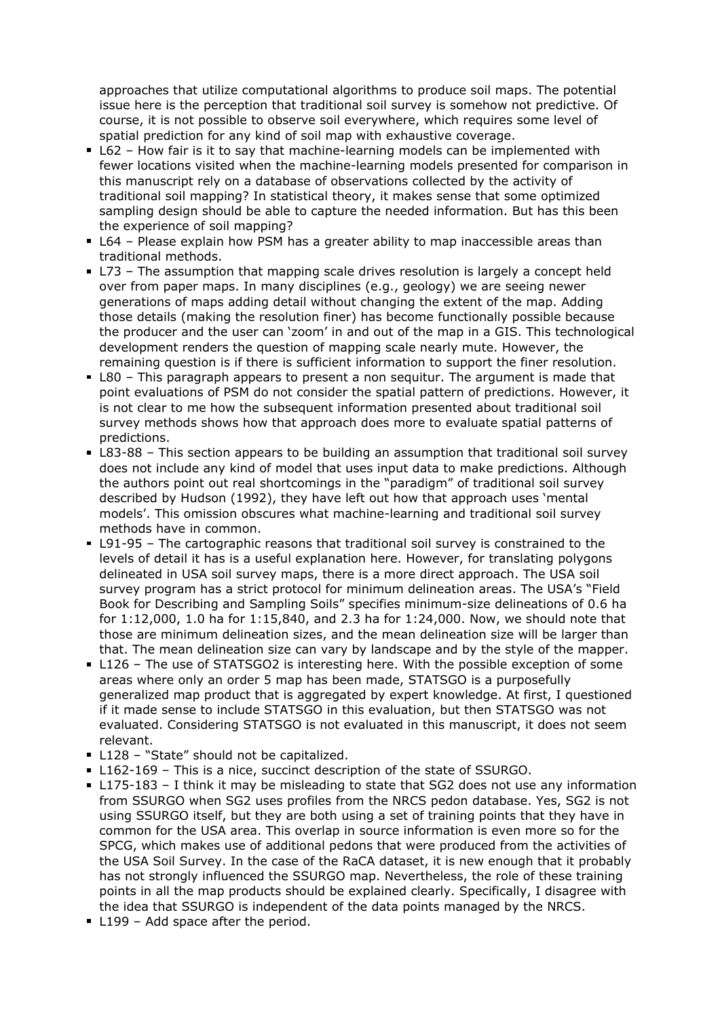approaches that utilize computational algorithms to produce soil maps. The potential issue here is the perception that traditional soil survey is somehow not predictive. Of course, it is not possible to observe soil everywhere, which requires some level of spatial prediction for any kind of soil map with exhaustive coverage.

- L62 How fair is it to say that machine-learning models can be implemented with fewer locations visited when the machine-learning models presented for comparison in this manuscript rely on a database of observations collected by the activity of traditional soil mapping? In statistical theory, it makes sense that some optimized sampling design should be able to capture the needed information. But has this been the experience of soil mapping?
- L64 Please explain how PSM has a greater ability to map inaccessible areas than traditional methods.
- L73 The assumption that mapping scale drives resolution is largely a concept held over from paper maps. In many disciplines (e.g., geology) we are seeing newer generations of maps adding detail without changing the extent of the map. Adding those details (making the resolution finer) has become functionally possible because the producer and the user can 'zoom' in and out of the map in a GIS. This technological development renders the question of mapping scale nearly mute. However, the remaining question is if there is sufficient information to support the finer resolution.
- L80 This paragraph appears to present a non sequitur. The argument is made that point evaluations of PSM do not consider the spatial pattern of predictions. However, it is not clear to me how the subsequent information presented about traditional soil survey methods shows how that approach does more to evaluate spatial patterns of predictions.
- L83-88 This section appears to be building an assumption that traditional soil survey does not include any kind of model that uses input data to make predictions. Although the authors point out real shortcomings in the "paradigm" of traditional soil survey described by Hudson (1992), they have left out how that approach uses 'mental models'. This omission obscures what machine-learning and traditional soil survey methods have in common.
- L91-95 The cartographic reasons that traditional soil survey is constrained to the levels of detail it has is a useful explanation here. However, for translating polygons delineated in USA soil survey maps, there is a more direct approach. The USA soil survey program has a strict protocol for minimum delineation areas. The USA's "Field Book for Describing and Sampling Soils" specifies minimum-size delineations of 0.6 ha for 1:12,000, 1.0 ha for 1:15,840, and 2.3 ha for 1:24,000. Now, we should note that those are minimum delineation sizes, and the mean delineation size will be larger than that. The mean delineation size can vary by landscape and by the style of the mapper.
- L126 The use of STATSGO2 is interesting here. With the possible exception of some areas where only an order 5 map has been made, STATSGO is a purposefully generalized map product that is aggregated by expert knowledge. At first, I questioned if it made sense to include STATSGO in this evaluation, but then STATSGO was not evaluated. Considering STATSGO is not evaluated in this manuscript, it does not seem relevant.
- L128 "State" should not be capitalized.
- L162-169 This is a nice, succinct description of the state of SSURGO.
- L175-183 I think it may be misleading to state that SG2 does not use any information from SSURGO when SG2 uses profiles from the NRCS pedon database. Yes, SG2 is not using SSURGO itself, but they are both using a set of training points that they have in common for the USA area. This overlap in source information is even more so for the SPCG, which makes use of additional pedons that were produced from the activities of the USA Soil Survey. In the case of the RaCA dataset, it is new enough that it probably has not strongly influenced the SSURGO map. Nevertheless, the role of these training points in all the map products should be explained clearly. Specifically, I disagree with the idea that SSURGO is independent of the data points managed by the NRCS.
- L199 Add space after the period.